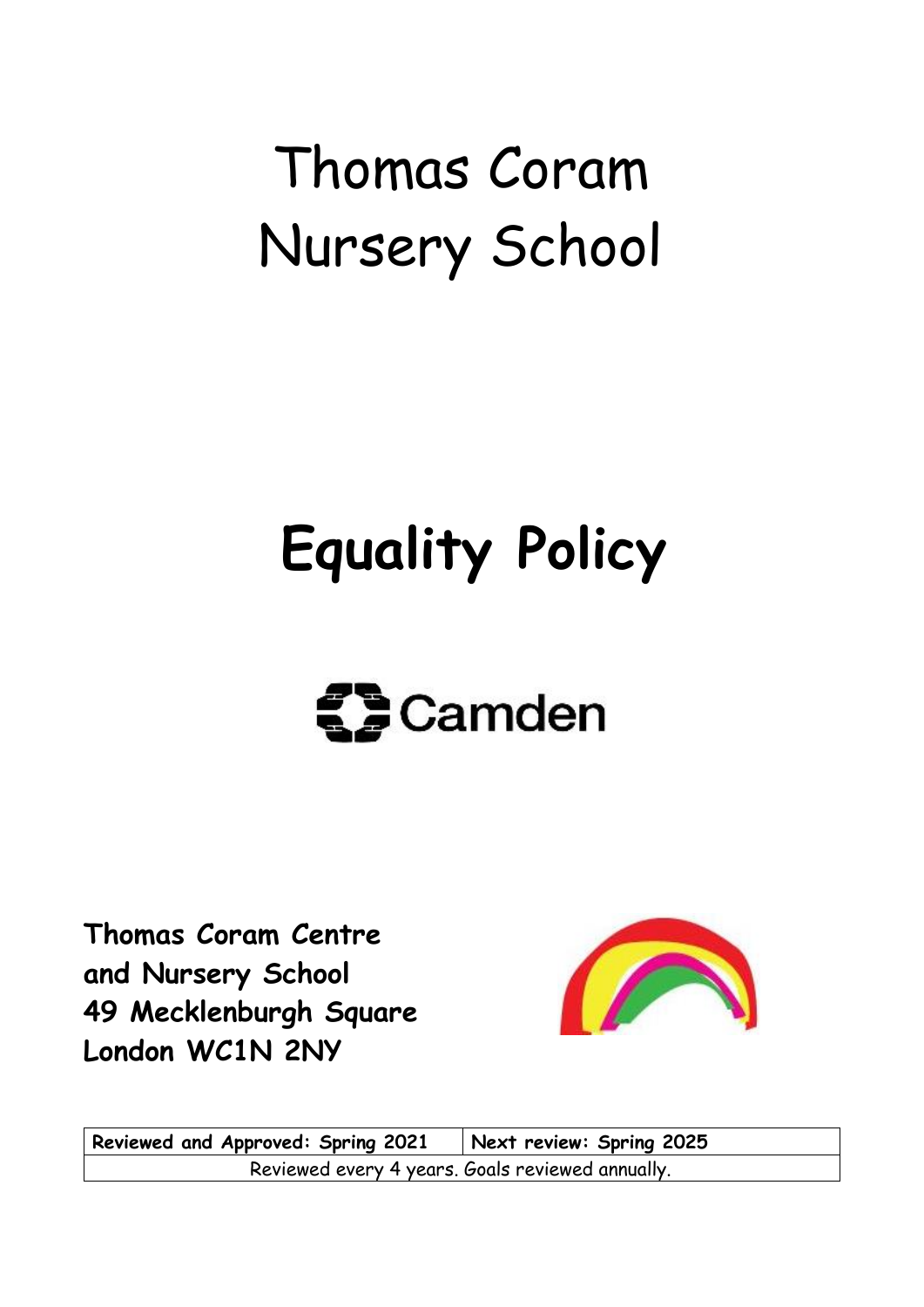# Thomas Coram Nursery School

# **Equality Policy**

# $\mathbf{Z}$ Camden

**Thomas Coram Centre and Nursery School 49 Mecklenburgh Square London WC1N 2NY**



**Reviewed and Approved: Spring 2021 Next review: Spring 2025** Reviewed every 4 years. Goals reviewed annually.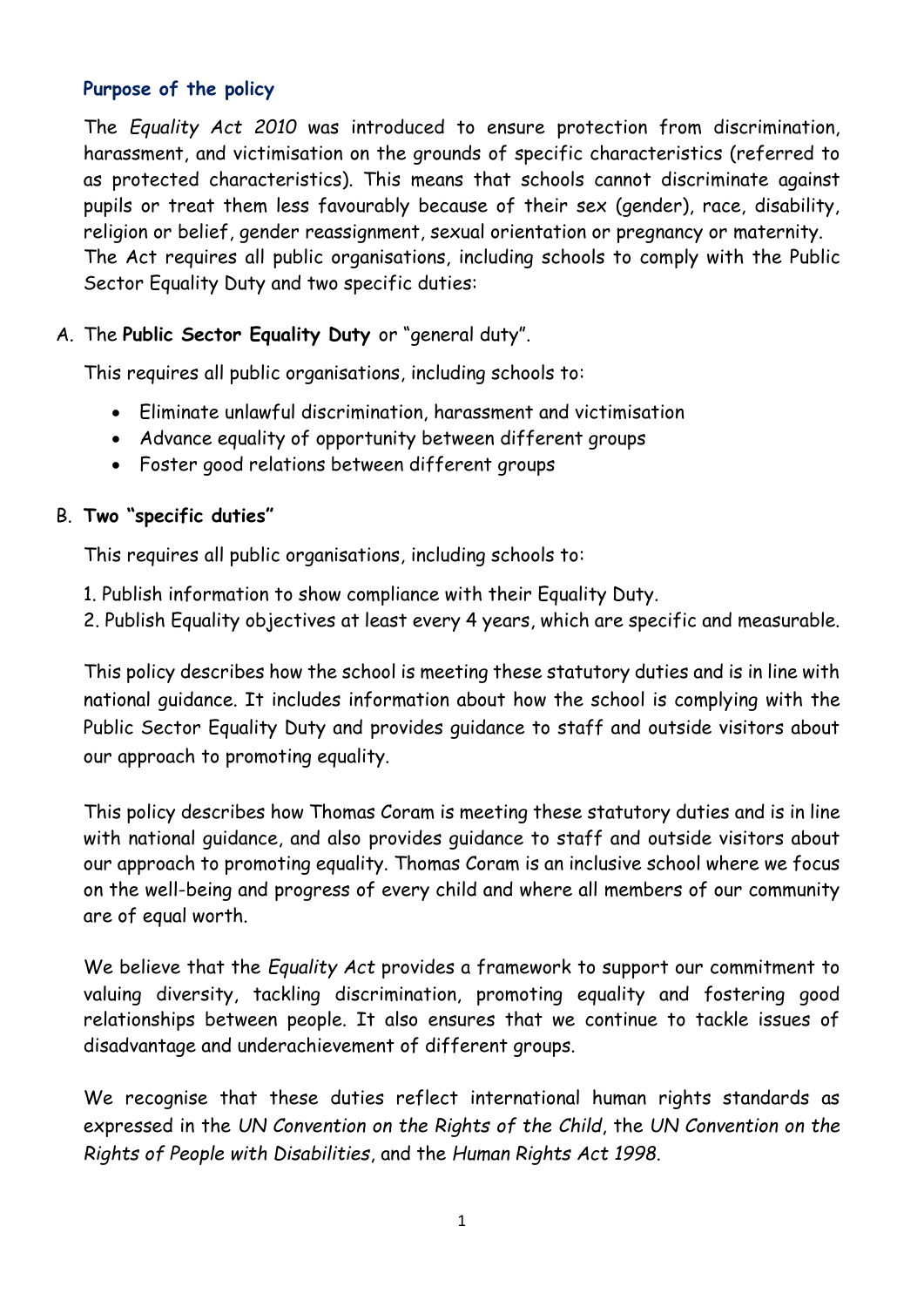# **Purpose of the policy**

The *Equality Act 2010* was introduced to ensure protection from discrimination, harassment, and victimisation on the grounds of specific characteristics (referred to as protected characteristics). This means that schools cannot discriminate against pupils or treat them less favourably because of their sex (gender), race, disability, religion or belief, gender reassignment, sexual orientation or pregnancy or maternity. The Act requires all public organisations, including schools to comply with the Public Sector Equality Duty and two specific duties:

# A. The **Public Sector Equality Duty** or "general duty".

This requires all public organisations, including schools to:

- Eliminate unlawful discrimination, harassment and victimisation
- Advance equality of opportunity between different groups
- Foster good relations between different groups

### B. **Two "specific duties"**

This requires all public organisations, including schools to:

- 1. Publish information to show compliance with their Equality Duty.
- 2. Publish Equality objectives at least every 4 years, which are specific and measurable.

This policy describes how the school is meeting these statutory duties and is in line with national guidance. It includes information about how the school is complying with the Public Sector Equality Duty and provides guidance to staff and outside visitors about our approach to promoting equality.

This policy describes how Thomas Coram is meeting these statutory duties and is in line with national guidance, and also provides guidance to staff and outside visitors about our approach to promoting equality. Thomas Coram is an inclusive school where we focus on the well-being and progress of every child and where all members of our community are of equal worth.

We believe that the *Equality Act* provides a framework to support our commitment to valuing diversity, tackling discrimination, promoting equality and fostering good relationships between people. It also ensures that we continue to tackle issues of disadvantage and underachievement of different groups.

We recognise that these duties reflect international human rights standards as expressed in the *UN Convention on the Rights of the Child*, the *UN Convention on the Rights of People with Disabilities*, and the *Human Rights Act 1998*.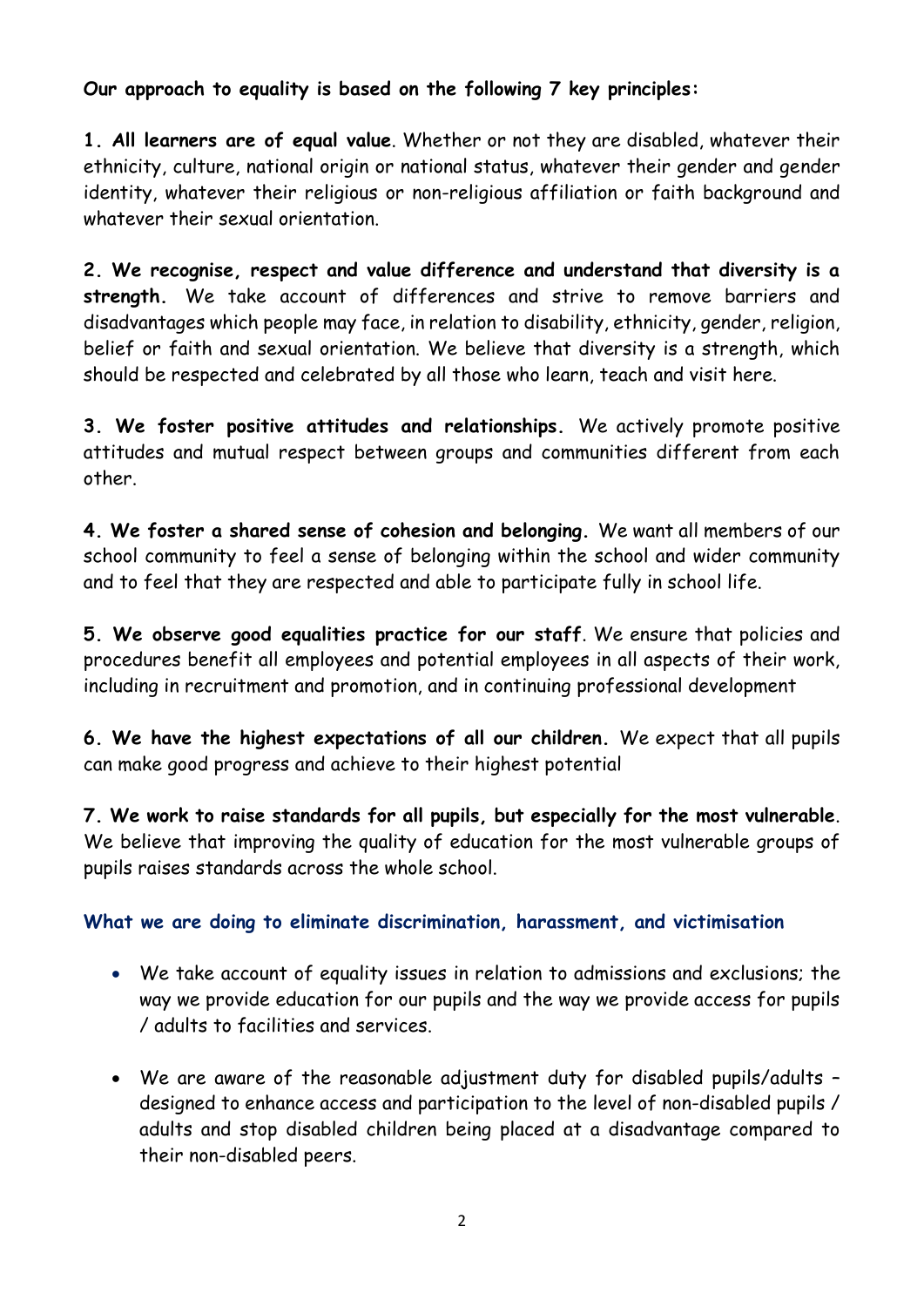# **Our approach to equality is based on the following 7 key principles:**

**1. All learners are of equal value**. Whether or not they are disabled, whatever their ethnicity, culture, national origin or national status, whatever their gender and gender identity, whatever their religious or non-religious affiliation or faith background and whatever their sexual orientation

**2. We recognise, respect and value difference and understand that diversity is a strength.** We take account of differences and strive to remove barriers and disadvantages which people may face, in relation to disability, ethnicity, gender, religion, belief or faith and sexual orientation. We believe that diversity is a strength, which should be respected and celebrated by all those who learn, teach and visit here.

**3. We foster positive attitudes and relationships.** We actively promote positive attitudes and mutual respect between groups and communities different from each other.

**4. We foster a shared sense of cohesion and belonging.** We want all members of our school community to feel a sense of belonging within the school and wider community and to feel that they are respected and able to participate fully in school life.

**5. We observe good equalities practice for our staff**. We ensure that policies and procedures benefit all employees and potential employees in all aspects of their work, including in recruitment and promotion, and in continuing professional development

**6. We have the highest expectations of all our children.** We expect that all pupils can make good progress and achieve to their highest potential

**7. We work to raise standards for all pupils, but especially for the most vulnerable**. We believe that improving the quality of education for the most vulnerable groups of pupils raises standards across the whole school.

# **What we are doing to eliminate discrimination, harassment, and victimisation**

- We take account of equality issues in relation to admissions and exclusions; the way we provide education for our pupils and the way we provide access for pupils / adults to facilities and services.
- We are aware of the reasonable adjustment duty for disabled pupils/adults designed to enhance access and participation to the level of non-disabled pupils / adults and stop disabled children being placed at a disadvantage compared to their non-disabled peers.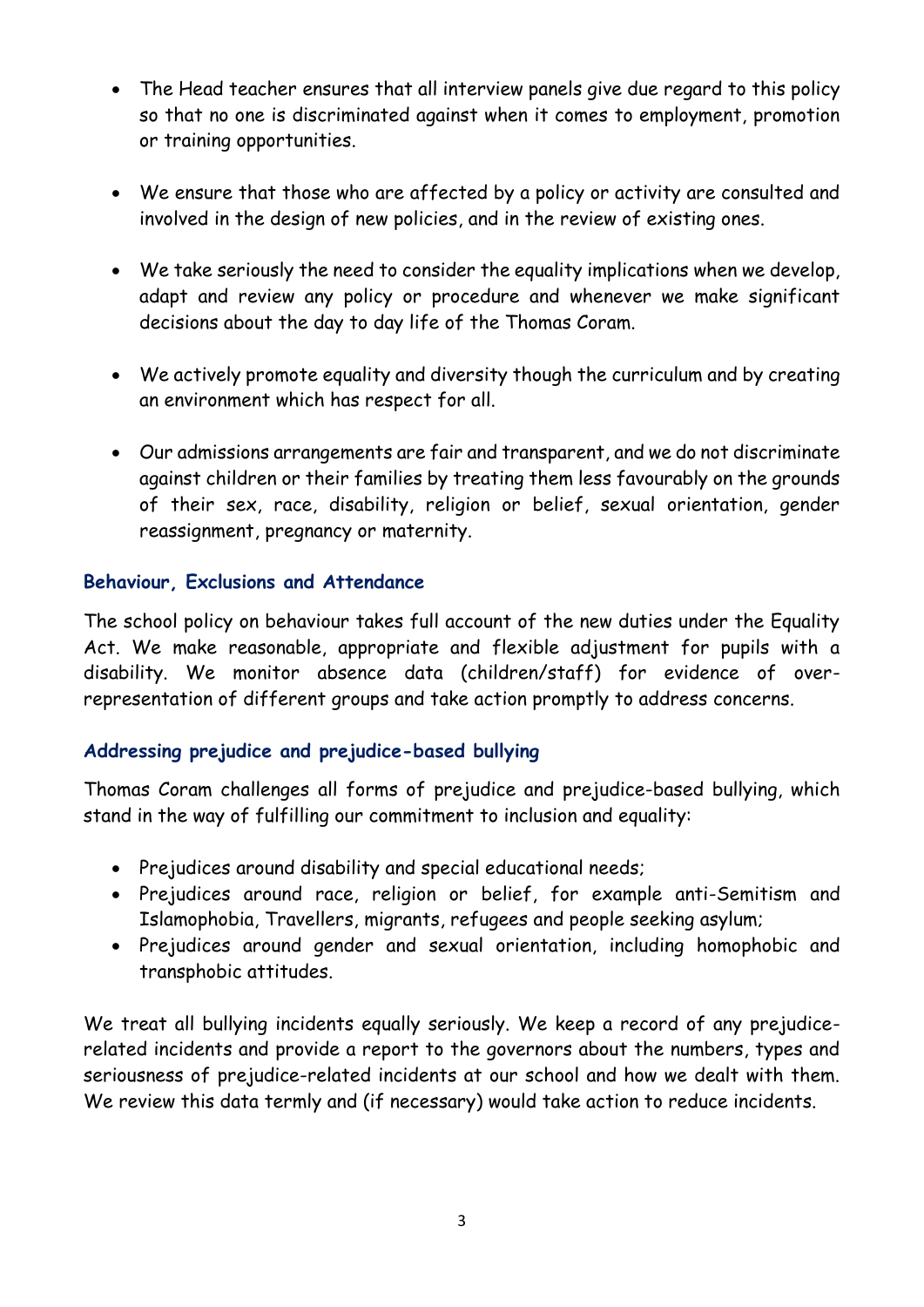- The Head teacher ensures that all interview panels give due regard to this policy so that no one is discriminated against when it comes to employment, promotion or training opportunities.
- We ensure that those who are affected by a policy or activity are consulted and involved in the design of new policies, and in the review of existing ones.
- We take seriously the need to consider the equality implications when we develop, adapt and review any policy or procedure and whenever we make significant decisions about the day to day life of the Thomas Coram.
- We actively promote equality and diversity though the curriculum and by creating an environment which has respect for all.
- Our admissions arrangements are fair and transparent, and we do not discriminate against children or their families by treating them less favourably on the grounds of their sex, race, disability, religion or belief, sexual orientation, gender reassignment, pregnancy or maternity.

# **Behaviour, Exclusions and Attendance**

The school policy on behaviour takes full account of the new duties under the Equality Act. We make reasonable, appropriate and flexible adjustment for pupils with a disability. We monitor absence data (children/staff) for evidence of overrepresentation of different groups and take action promptly to address concerns.

# **Addressing prejudice and prejudice-based bullying**

Thomas Coram challenges all forms of prejudice and prejudice-based bullying, which stand in the way of fulfilling our commitment to inclusion and equality:

- Prejudices around disability and special educational needs;
- Prejudices around race, religion or belief, for example anti-Semitism and Islamophobia, Travellers, migrants, refugees and people seeking asylum;
- Prejudices around gender and sexual orientation, including homophobic and transphobic attitudes.

We treat all bullying incidents equally seriously. We keep a record of any prejudicerelated incidents and provide a report to the governors about the numbers, types and seriousness of prejudice-related incidents at our school and how we dealt with them. We review this data termly and (if necessary) would take action to reduce incidents.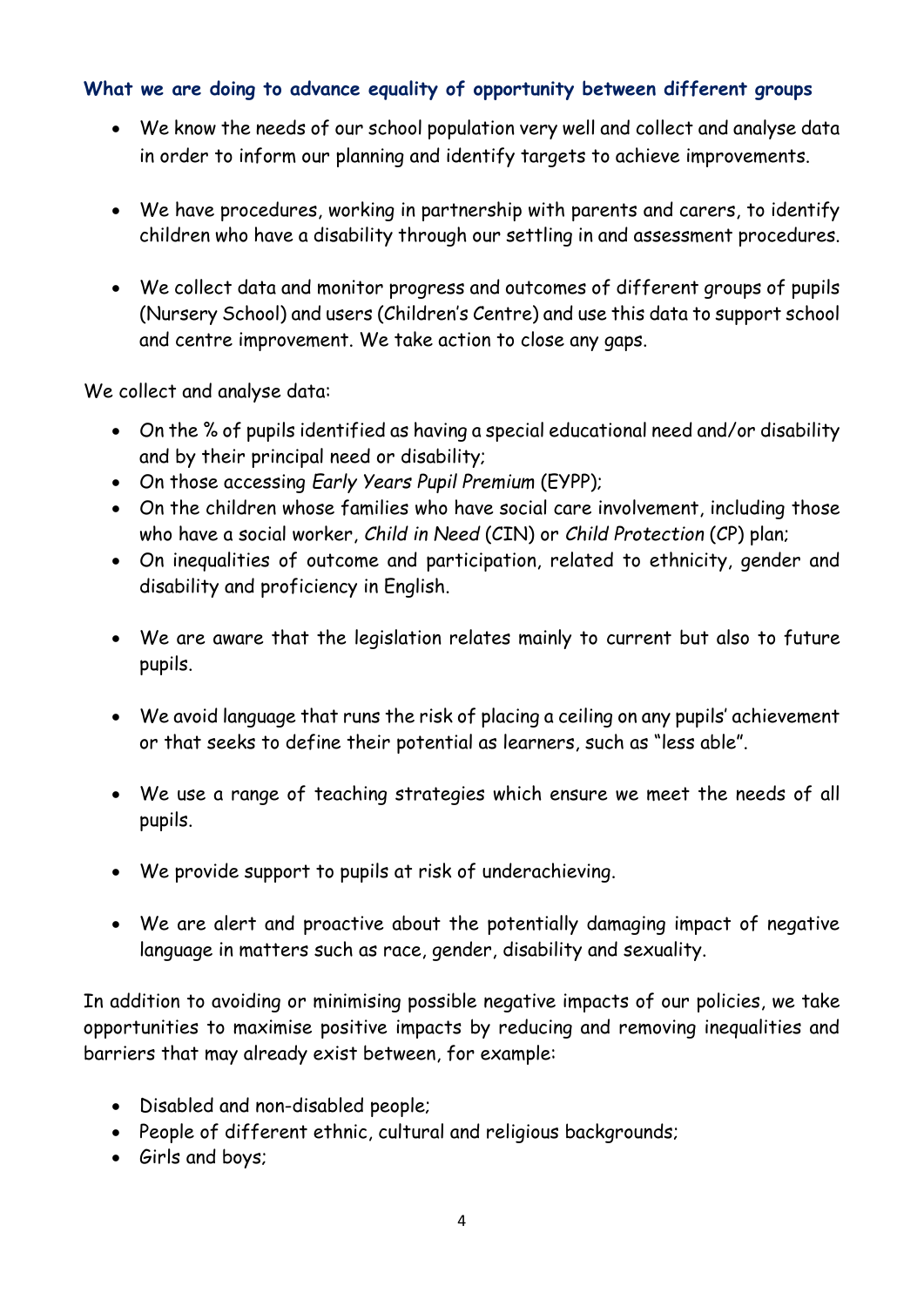## **What we are doing to advance equality of opportunity between different groups**

- We know the needs of our school population very well and collect and analyse data in order to inform our planning and identify targets to achieve improvements.
- We have procedures, working in partnership with parents and carers, to identify children who have a disability through our settling in and assessment procedures.
- We collect data and monitor progress and outcomes of different groups of pupils (Nursery School) and users (Children's Centre) and use this data to support school and centre improvement. We take action to close any gaps.

We collect and analyse data:

- On the % of pupils identified as having a special educational need and/or disability and by their principal need or disability;
- On those accessing *Early Years Pupil Premium* (EYPP);
- On the children whose families who have social care involvement, including those who have a social worker, *Child in Need* (CIN) or *Child Protection* (CP) plan;
- On inequalities of outcome and participation, related to ethnicity, gender and disability and proficiency in English.
- We are aware that the legislation relates mainly to current but also to future pupils.
- We avoid language that runs the risk of placing a ceiling on any pupils' achievement or that seeks to define their potential as learners, such as "less able".
- We use a range of teaching strategies which ensure we meet the needs of all pupils.
- We provide support to pupils at risk of underachieving.
- We are alert and proactive about the potentially damaging impact of negative language in matters such as race, gender, disability and sexuality.

In addition to avoiding or minimising possible negative impacts of our policies, we take opportunities to maximise positive impacts by reducing and removing inequalities and barriers that may already exist between, for example:

- Disabled and non-disabled people;
- People of different ethnic, cultural and religious backgrounds;
- Girls and boys;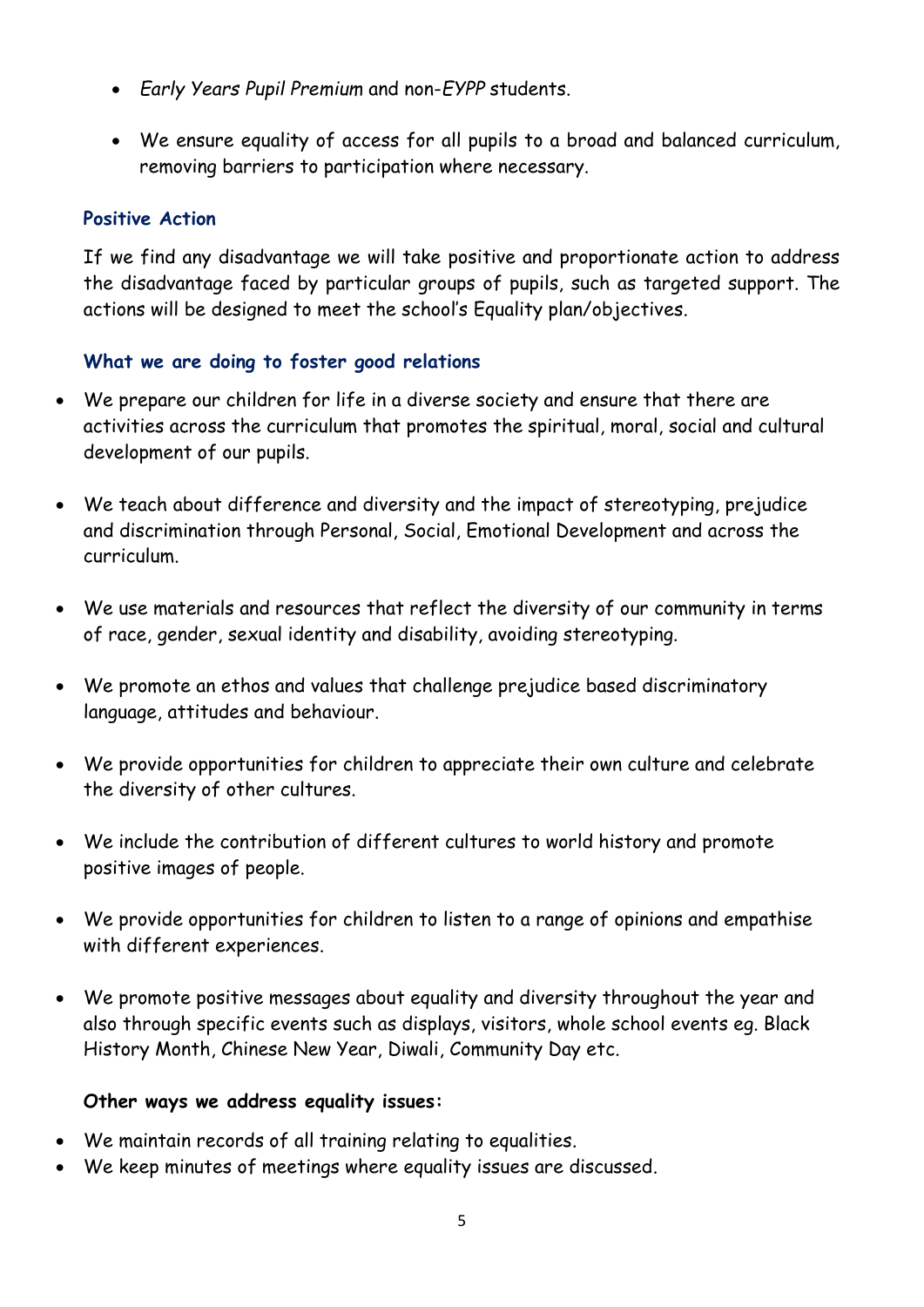- *Early Years Pupil Premium* and non-*EYPP* students.
- We ensure equality of access for all pupils to a broad and balanced curriculum, removing barriers to participation where necessary.

## **Positive Action**

If we find any disadvantage we will take positive and proportionate action to address the disadvantage faced by particular groups of pupils, such as targeted support. The actions will be designed to meet the school's Equality plan/objectives.

# **What we are doing to foster good relations**

- We prepare our children for life in a diverse society and ensure that there are activities across the curriculum that promotes the spiritual, moral, social and cultural development of our pupils.
- We teach about difference and diversity and the impact of stereotyping, prejudice and discrimination through Personal, Social, Emotional Development and across the curriculum.
- We use materials and resources that reflect the diversity of our community in terms of race, gender, sexual identity and disability, avoiding stereotyping.
- We promote an ethos and values that challenge prejudice based discriminatory language, attitudes and behaviour.
- We provide opportunities for children to appreciate their own culture and celebrate the diversity of other cultures.
- We include the contribution of different cultures to world history and promote positive images of people.
- We provide opportunities for children to listen to a range of opinions and empathise with different experiences.
- We promote positive messages about equality and diversity throughout the year and also through specific events such as displays, visitors, whole school events eg. Black History Month, Chinese New Year, Diwali, Community Day etc.

#### **Other ways we address equality issues:**

- We maintain records of all training relating to equalities.
- We keep minutes of meetings where equality issues are discussed.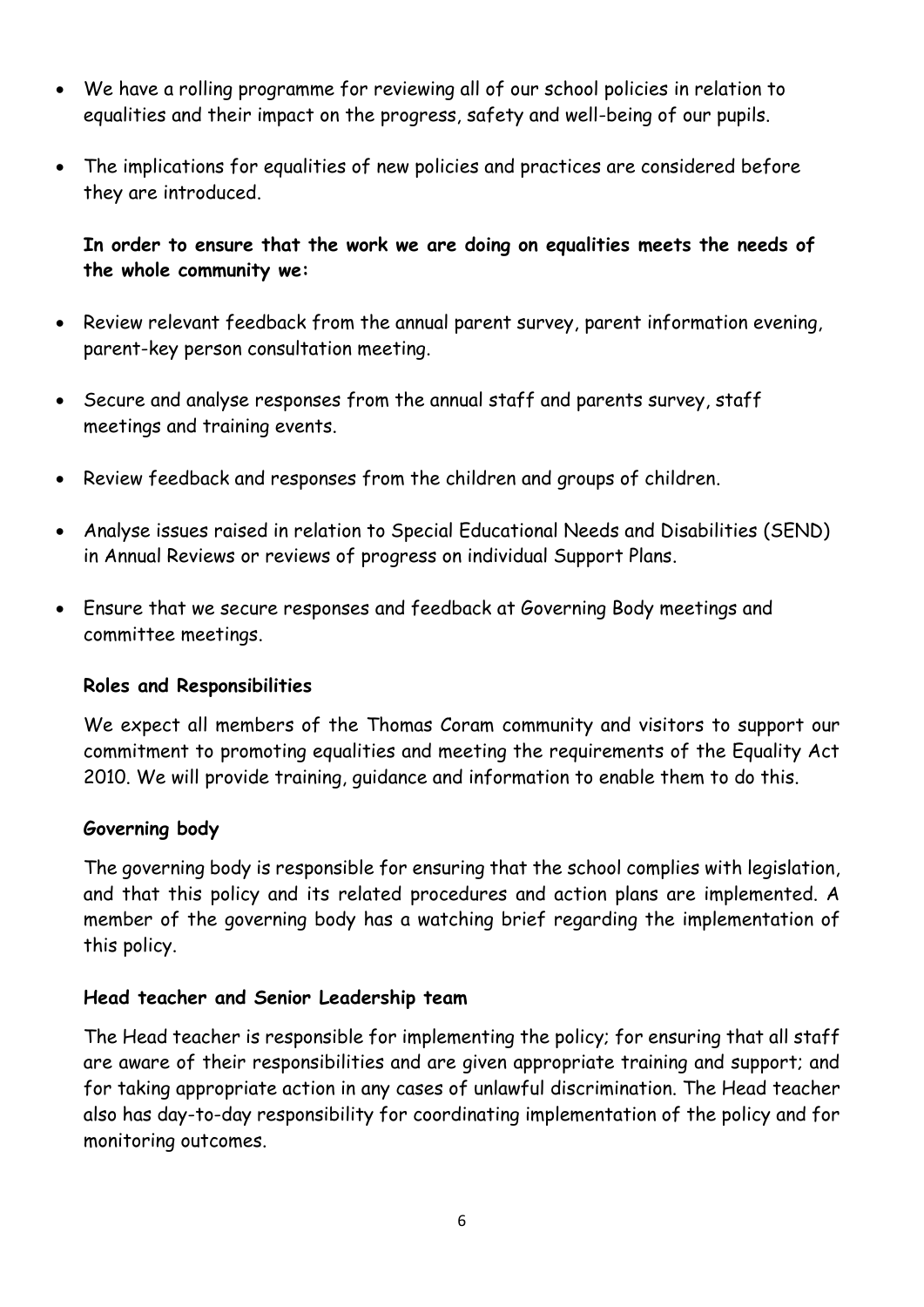- We have a rolling programme for reviewing all of our school policies in relation to equalities and their impact on the progress, safety and well-being of our pupils.
- The implications for equalities of new policies and practices are considered before they are introduced.

**In order to ensure that the work we are doing on equalities meets the needs of the whole community we:** 

- Review relevant feedback from the annual parent survey, parent information evening, parent-key person consultation meeting.
- Secure and analyse responses from the annual staff and parents survey, staff meetings and training events.
- Review feedback and responses from the children and groups of children.
- Analyse issues raised in relation to Special Educational Needs and Disabilities (SEND) in Annual Reviews or reviews of progress on individual Support Plans.
- Ensure that we secure responses and feedback at Governing Body meetings and committee meetings.

#### **Roles and Responsibilities**

We expect all members of the Thomas Coram community and visitors to support our commitment to promoting equalities and meeting the requirements of the Equality Act 2010. We will provide training, guidance and information to enable them to do this.

#### **Governing body**

The governing body is responsible for ensuring that the school complies with legislation, and that this policy and its related procedures and action plans are implemented. A member of the governing body has a watching brief regarding the implementation of this policy.

#### **Head teacher and Senior Leadership team**

The Head teacher is responsible for implementing the policy; for ensuring that all staff are aware of their responsibilities and are given appropriate training and support; and for taking appropriate action in any cases of unlawful discrimination. The Head teacher also has day-to-day responsibility for coordinating implementation of the policy and for monitoring outcomes.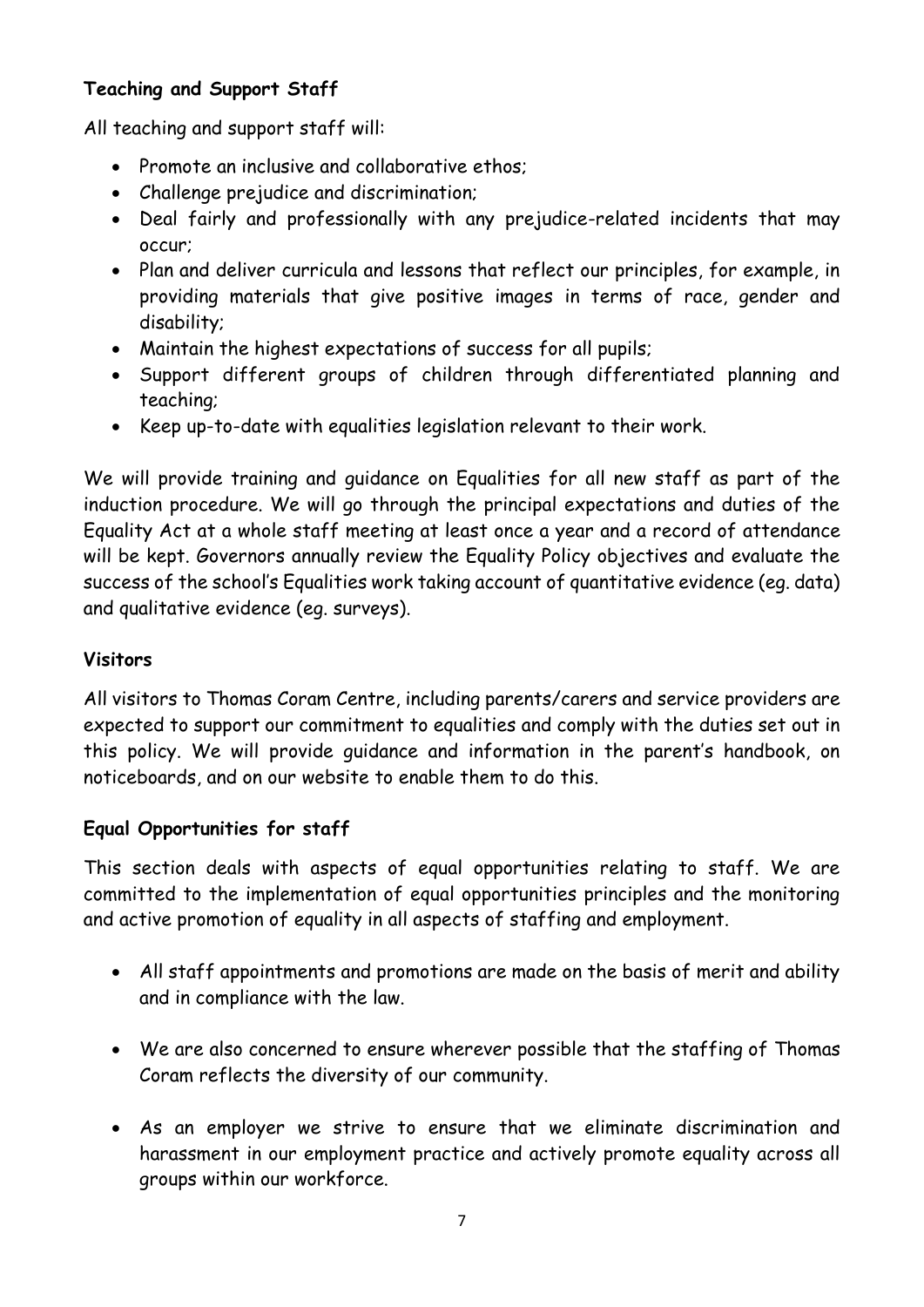# **Teaching and Support Staff**

All teaching and support staff will:

- Promote an inclusive and collaborative ethos:
- Challenge prejudice and discrimination;
- Deal fairly and professionally with any prejudice-related incidents that may occur;
- Plan and deliver curricula and lessons that reflect our principles, for example, in providing materials that give positive images in terms of race, gender and disability;
- Maintain the highest expectations of success for all pupils;
- Support different groups of children through differentiated planning and teaching;
- Keep up-to-date with equalities legislation relevant to their work.

We will provide training and guidance on Equalities for all new staff as part of the induction procedure. We will go through the principal expectations and duties of the Equality Act at a whole staff meeting at least once a year and a record of attendance will be kept. Governors annually review the Equality Policy objectives and evaluate the success of the school's Equalities work taking account of quantitative evidence (eg. data) and qualitative evidence (eg. surveys).

# **Visitors**

All visitors to Thomas Coram Centre, including parents/carers and service providers are expected to support our commitment to equalities and comply with the duties set out in this policy. We will provide guidance and information in the parent's handbook, on noticeboards, and on our website to enable them to do this.

# **Equal Opportunities for staff**

This section deals with aspects of equal opportunities relating to staff. We are committed to the implementation of equal opportunities principles and the monitoring and active promotion of equality in all aspects of staffing and employment.

- All staff appointments and promotions are made on the basis of merit and ability and in compliance with the law.
- We are also concerned to ensure wherever possible that the staffing of Thomas Coram reflects the diversity of our community.
- As an employer we strive to ensure that we eliminate discrimination and harassment in our employment practice and actively promote equality across all groups within our workforce.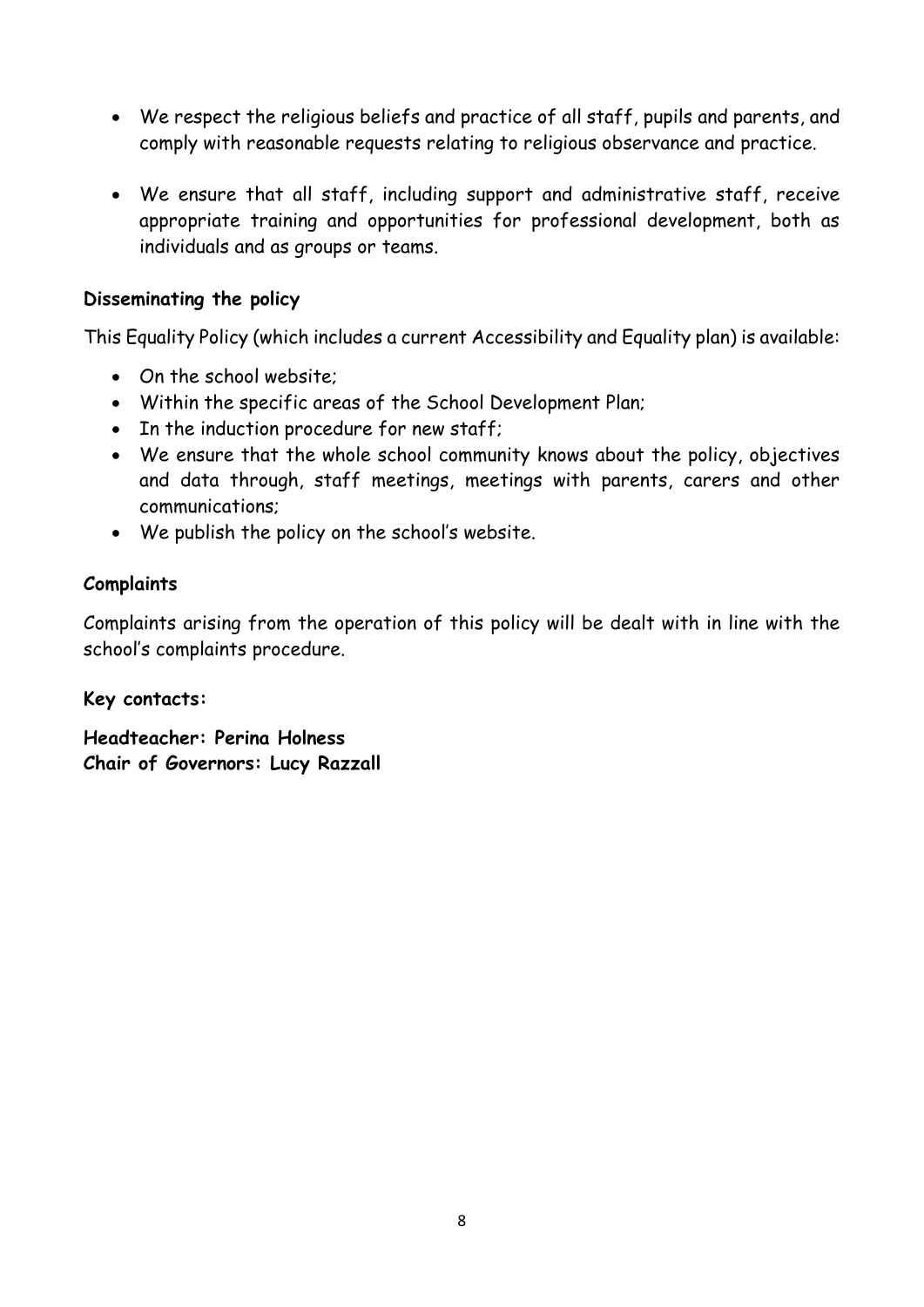- We respect the religious beliefs and practice of all staff, pupils and parents, and comply with reasonable requests relating to religious observance and practice.
- We ensure that all staff, including support and administrative staff, receive appropriate training and opportunities for professional development, both as individuals and as groups or teams.

## **Disseminating the policy**

This Equality Policy (which includes a current Accessibility and Equality plan) is available:

- On the school website;
- Within the specific areas of the School Development Plan;
- In the induction procedure for new staff;
- We ensure that the whole school community knows about the policy, objectives and data through, staff meetings, meetings with parents, carers and other communications;
- We publish the policy on the school's website.

### **Complaints**

Complaints arising from the operation of this policy will be dealt with in line with the school's complaints procedure.

**Key contacts:**

**Headteacher: Perina Holness Chair of Governors: Lucy Razzall**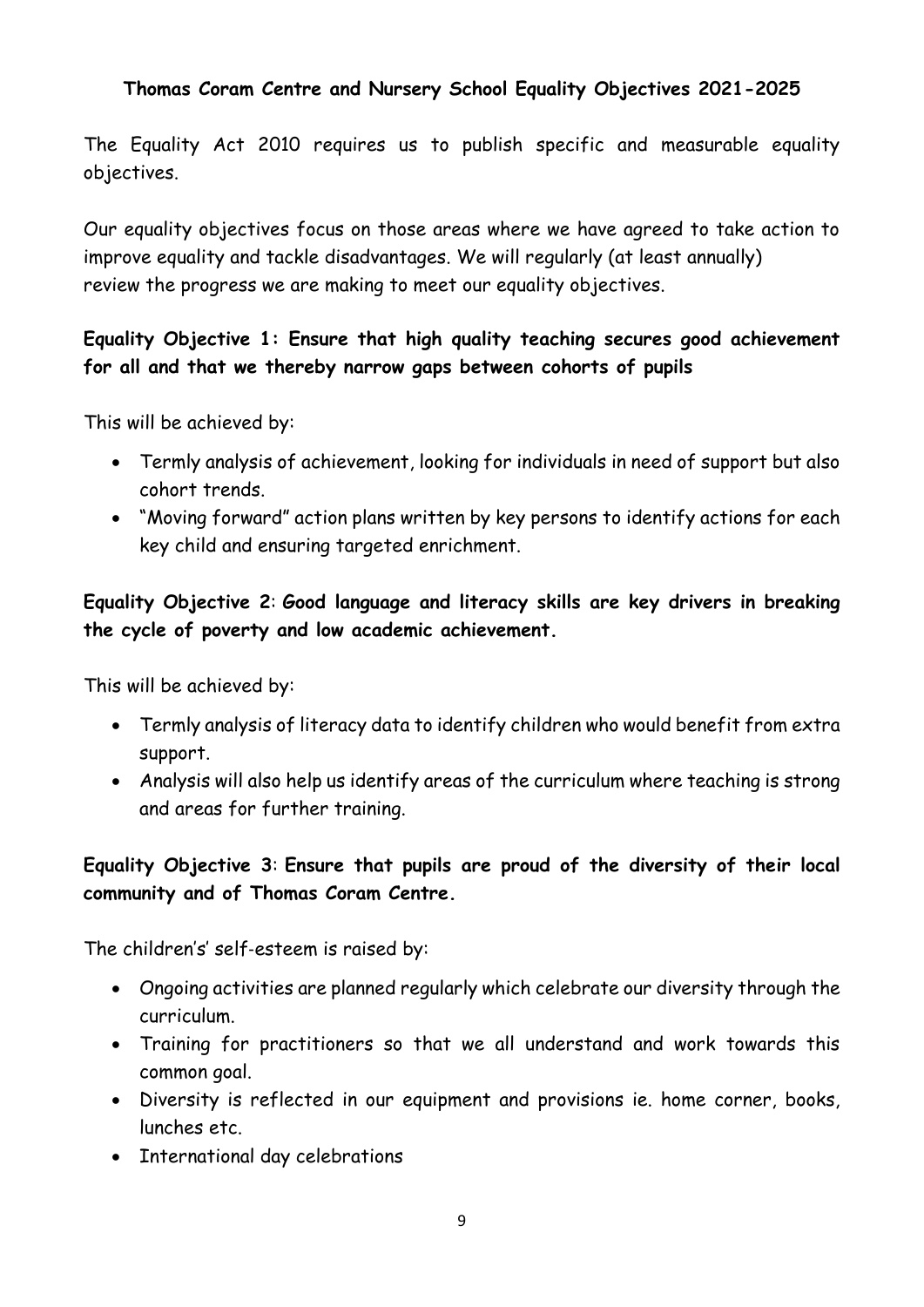# **Thomas Coram Centre and Nursery School Equality Objectives 2021-2025**

The Equality Act 2010 requires us to publish specific and measurable equality objectives.

Our equality objectives focus on those areas where we have agreed to take action to improve equality and tackle disadvantages. We will regularly (at least annually) review the progress we are making to meet our equality objectives.

# **Equality Objective 1: Ensure that high quality teaching secures good achievement for all and that we thereby narrow gaps between cohorts of pupils**

This will be achieved by:

- Termly analysis of achievement, looking for individuals in need of support but also cohort trends.
- "Moving forward" action plans written by key persons to identify actions for each key child and ensuring targeted enrichment.

# **Equality Objective 2**: **Good language and literacy skills are key drivers in breaking the cycle of poverty and low academic achievement.**

This will be achieved by:

- Termly analysis of literacy data to identify children who would benefit from extra support.
- Analysis will also help us identify areas of the curriculum where teaching is strong and areas for further training.

# **Equality Objective 3**: **Ensure that pupils are proud of the diversity of their local community and of Thomas Coram Centre.**

The children's' self‐esteem is raised by:

- Ongoing activities are planned regularly which celebrate our diversity through the curriculum.
- Training for practitioners so that we all understand and work towards this common goal.
- Diversity is reflected in our equipment and provisions ie. home corner, books, lunches etc.
- International day celebrations